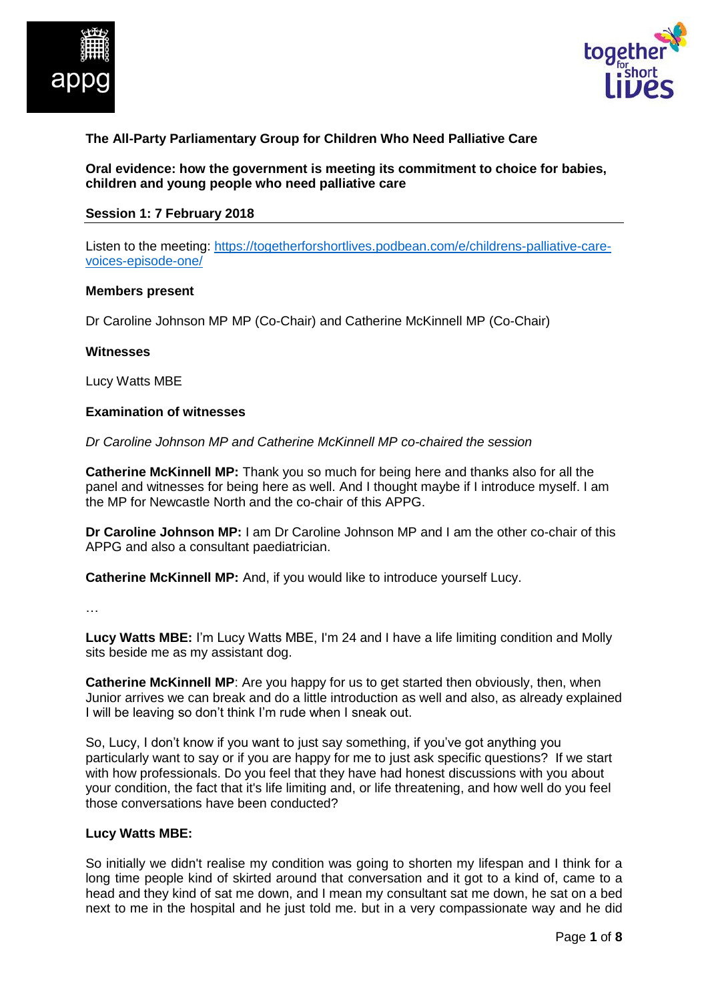



# **The All-Party Parliamentary Group for Children Who Need Palliative Care**

**Oral evidence: how the government is meeting its commitment to choice for babies, children and young people who need palliative care**

#### **Session 1: 7 February 2018**

Listen to the meeting: [https://togetherforshortlives.podbean.com/e/childrens-palliative-care](https://togetherforshortlives.podbean.com/e/childrens-palliative-care-voices-episode-one/)[voices-episode-one/](https://togetherforshortlives.podbean.com/e/childrens-palliative-care-voices-episode-one/)

#### **Members present**

Dr Caroline Johnson MP MP (Co-Chair) and Catherine McKinnell MP (Co-Chair)

#### **Witnesses**

Lucy Watts MBE

#### **Examination of witnesses**

*Dr Caroline Johnson MP and Catherine McKinnell MP co-chaired the session*

**Catherine McKinnell MP:** Thank you so much for being here and thanks also for all the panel and witnesses for being here as well. And I thought maybe if I introduce myself. I am the MP for Newcastle North and the co-chair of this APPG.

**Dr Caroline Johnson MP:** I am Dr Caroline Johnson MP and I am the other co-chair of this APPG and also a consultant paediatrician.

**Catherine McKinnell MP:** And, if you would like to introduce yourself Lucy.

…

**Lucy Watts MBE:** I'm Lucy Watts MBE, I'm 24 and I have a life limiting condition and Molly sits beside me as my assistant dog.

**Catherine McKinnell MP**: Are you happy for us to get started then obviously, then, when Junior arrives we can break and do a little introduction as well and also, as already explained I will be leaving so don't think I'm rude when I sneak out.

So, Lucy, I don't know if you want to just say something, if you've got anything you particularly want to say or if you are happy for me to just ask specific questions? If we start with how professionals. Do you feel that they have had honest discussions with you about your condition, the fact that it's life limiting and, or life threatening, and how well do you feel those conversations have been conducted?

#### **Lucy Watts MBE:**

So initially we didn't realise my condition was going to shorten my lifespan and I think for a long time people kind of skirted around that conversation and it got to a kind of, came to a head and they kind of sat me down, and I mean my consultant sat me down, he sat on a bed next to me in the hospital and he just told me. but in a very compassionate way and he did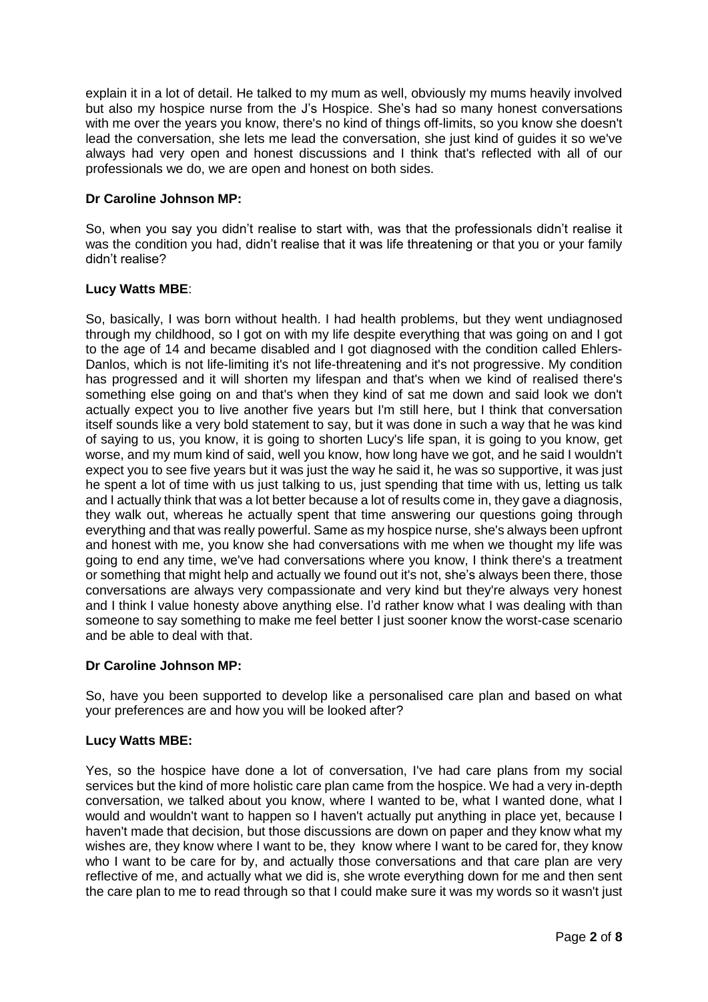explain it in a lot of detail. He talked to my mum as well, obviously my mums heavily involved but also my hospice nurse from the J's Hospice. She's had so many honest conversations with me over the years you know, there's no kind of things off-limits, so you know she doesn't lead the conversation, she lets me lead the conversation, she just kind of guides it so we've always had very open and honest discussions and I think that's reflected with all of our professionals we do, we are open and honest on both sides.

## **Dr Caroline Johnson MP:**

So, when you say you didn't realise to start with, was that the professionals didn't realise it was the condition you had, didn't realise that it was life threatening or that you or your family didn't realise?

## **Lucy Watts MBE**:

So, basically, I was born without health. I had health problems, but they went undiagnosed through my childhood, so I got on with my life despite everything that was going on and I got to the age of 14 and became disabled and I got diagnosed with the condition called Ehlers-Danlos, which is not life-limiting it's not life-threatening and it's not progressive. My condition has progressed and it will shorten my lifespan and that's when we kind of realised there's something else going on and that's when they kind of sat me down and said look we don't actually expect you to live another five years but I'm still here, but I think that conversation itself sounds like a very bold statement to say, but it was done in such a way that he was kind of saying to us, you know, it is going to shorten Lucy's life span, it is going to you know, get worse, and my mum kind of said, well you know, how long have we got, and he said I wouldn't expect you to see five years but it was just the way he said it, he was so supportive, it was just he spent a lot of time with us just talking to us, just spending that time with us, letting us talk and I actually think that was a lot better because a lot of results come in, they gave a diagnosis, they walk out, whereas he actually spent that time answering our questions going through everything and that was really powerful. Same as my hospice nurse, she's always been upfront and honest with me, you know she had conversations with me when we thought my life was going to end any time, we've had conversations where you know, I think there's a treatment or something that might help and actually we found out it's not, she's always been there, those conversations are always very compassionate and very kind but they're always very honest and I think I value honesty above anything else. I'd rather know what I was dealing with than someone to say something to make me feel better I just sooner know the worst-case scenario and be able to deal with that.

## **Dr Caroline Johnson MP:**

So, have you been supported to develop like a personalised care plan and based on what your preferences are and how you will be looked after?

## **Lucy Watts MBE:**

Yes, so the hospice have done a lot of conversation, I've had care plans from my social services but the kind of more holistic care plan came from the hospice. We had a very in-depth conversation, we talked about you know, where I wanted to be, what I wanted done, what I would and wouldn't want to happen so I haven't actually put anything in place yet, because I haven't made that decision, but those discussions are down on paper and they know what my wishes are, they know where I want to be, they know where I want to be cared for, they know who I want to be care for by, and actually those conversations and that care plan are very reflective of me, and actually what we did is, she wrote everything down for me and then sent the care plan to me to read through so that I could make sure it was my words so it wasn't just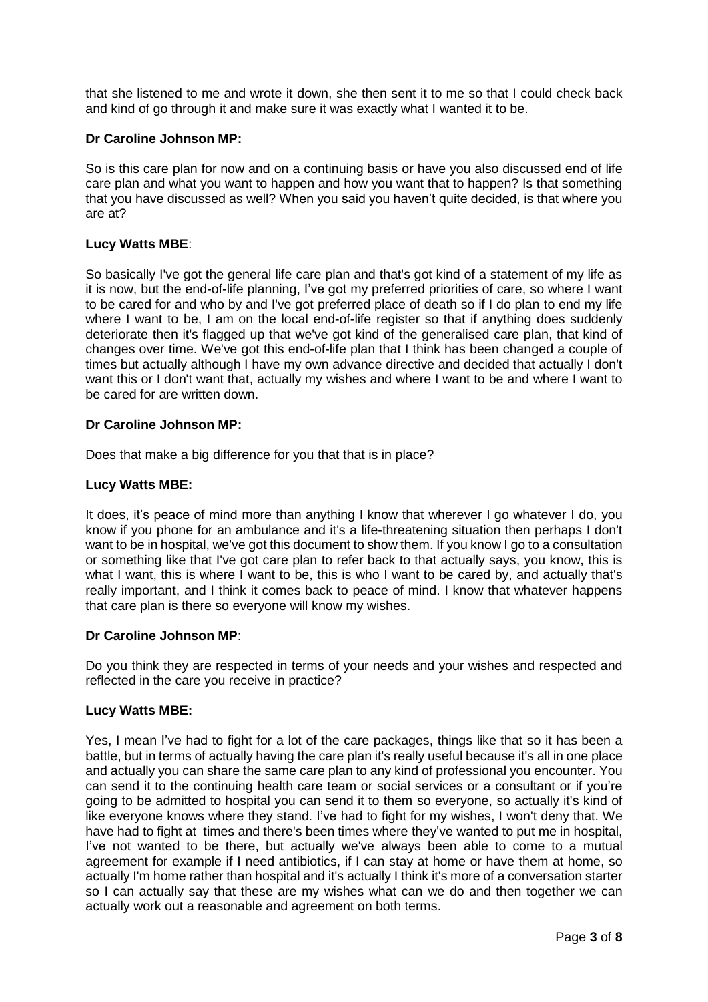that she listened to me and wrote it down, she then sent it to me so that I could check back and kind of go through it and make sure it was exactly what I wanted it to be.

### **Dr Caroline Johnson MP:**

So is this care plan for now and on a continuing basis or have you also discussed end of life care plan and what you want to happen and how you want that to happen? Is that something that you have discussed as well? When you said you haven't quite decided, is that where you are at?

### **Lucy Watts MBE**:

So basically I've got the general life care plan and that's got kind of a statement of my life as it is now, but the end-of-life planning, I've got my preferred priorities of care, so where I want to be cared for and who by and I've got preferred place of death so if I do plan to end my life where I want to be, I am on the local end-of-life register so that if anything does suddenly deteriorate then it's flagged up that we've got kind of the generalised care plan, that kind of changes over time. We've got this end-of-life plan that I think has been changed a couple of times but actually although I have my own advance directive and decided that actually I don't want this or I don't want that, actually my wishes and where I want to be and where I want to be cared for are written down.

### **Dr Caroline Johnson MP:**

Does that make a big difference for you that that is in place?

### **Lucy Watts MBE:**

It does, it's peace of mind more than anything I know that wherever I go whatever I do, you know if you phone for an ambulance and it's a life-threatening situation then perhaps I don't want to be in hospital, we've got this document to show them. If you know I go to a consultation or something like that I've got care plan to refer back to that actually says, you know, this is what I want, this is where I want to be, this is who I want to be cared by, and actually that's really important, and I think it comes back to peace of mind. I know that whatever happens that care plan is there so everyone will know my wishes.

#### **Dr Caroline Johnson MP**:

Do you think they are respected in terms of your needs and your wishes and respected and reflected in the care you receive in practice?

#### **Lucy Watts MBE:**

Yes, I mean I've had to fight for a lot of the care packages, things like that so it has been a battle, but in terms of actually having the care plan it's really useful because it's all in one place and actually you can share the same care plan to any kind of professional you encounter. You can send it to the continuing health care team or social services or a consultant or if you're going to be admitted to hospital you can send it to them so everyone, so actually it's kind of like everyone knows where they stand. I've had to fight for my wishes, I won't deny that. We have had to fight at times and there's been times where they've wanted to put me in hospital, I've not wanted to be there, but actually we've always been able to come to a mutual agreement for example if I need antibiotics, if I can stay at home or have them at home, so actually I'm home rather than hospital and it's actually I think it's more of a conversation starter so I can actually say that these are my wishes what can we do and then together we can actually work out a reasonable and agreement on both terms.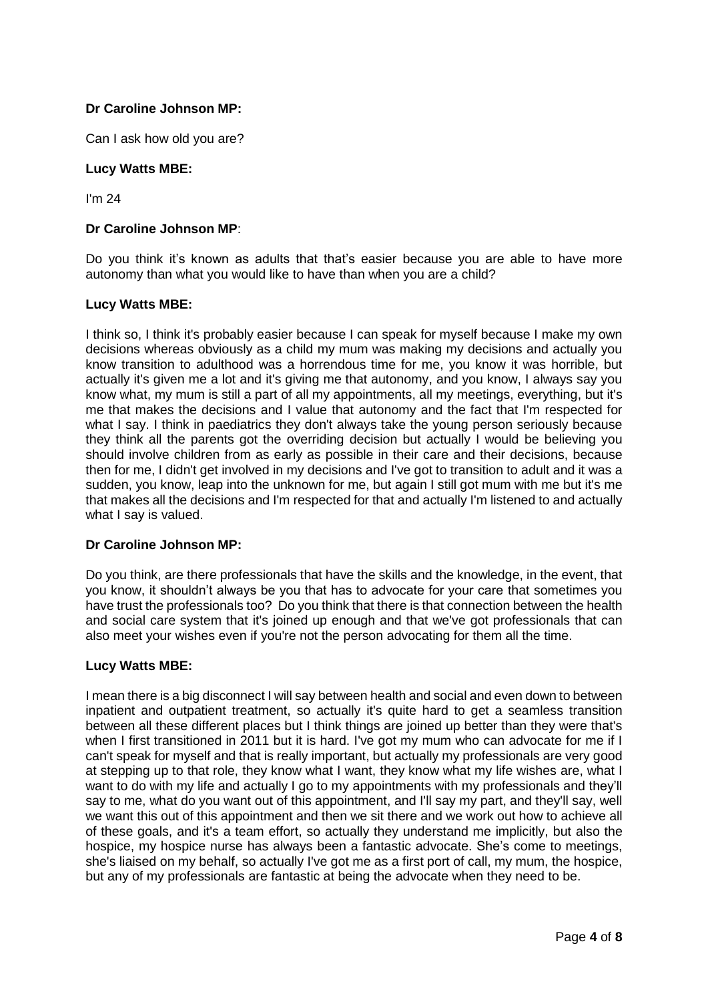Can I ask how old you are?

### **Lucy Watts MBE:**

I'm 24

### **Dr Caroline Johnson MP**:

Do you think it's known as adults that that's easier because you are able to have more autonomy than what you would like to have than when you are a child?

### **Lucy Watts MBE:**

I think so, I think it's probably easier because I can speak for myself because I make my own decisions whereas obviously as a child my mum was making my decisions and actually you know transition to adulthood was a horrendous time for me, you know it was horrible, but actually it's given me a lot and it's giving me that autonomy, and you know, I always say you know what, my mum is still a part of all my appointments, all my meetings, everything, but it's me that makes the decisions and I value that autonomy and the fact that I'm respected for what I say. I think in paediatrics they don't always take the young person seriously because they think all the parents got the overriding decision but actually I would be believing you should involve children from as early as possible in their care and their decisions, because then for me, I didn't get involved in my decisions and I've got to transition to adult and it was a sudden, you know, leap into the unknown for me, but again I still got mum with me but it's me that makes all the decisions and I'm respected for that and actually I'm listened to and actually what I say is valued.

#### **Dr Caroline Johnson MP:**

Do you think, are there professionals that have the skills and the knowledge, in the event, that you know, it shouldn't always be you that has to advocate for your care that sometimes you have trust the professionals too? Do you think that there is that connection between the health and social care system that it's joined up enough and that we've got professionals that can also meet your wishes even if you're not the person advocating for them all the time.

### **Lucy Watts MBE:**

I mean there is a big disconnect I will say between health and social and even down to between inpatient and outpatient treatment, so actually it's quite hard to get a seamless transition between all these different places but I think things are joined up better than they were that's when I first transitioned in 2011 but it is hard. I've got my mum who can advocate for me if I can't speak for myself and that is really important, but actually my professionals are very good at stepping up to that role, they know what I want, they know what my life wishes are, what I want to do with my life and actually I go to my appointments with my professionals and they'll say to me, what do you want out of this appointment, and I'll say my part, and they'll say, well we want this out of this appointment and then we sit there and we work out how to achieve all of these goals, and it's a team effort, so actually they understand me implicitly, but also the hospice, my hospice nurse has always been a fantastic advocate. She's come to meetings, she's liaised on my behalf, so actually I've got me as a first port of call, my mum, the hospice, but any of my professionals are fantastic at being the advocate when they need to be.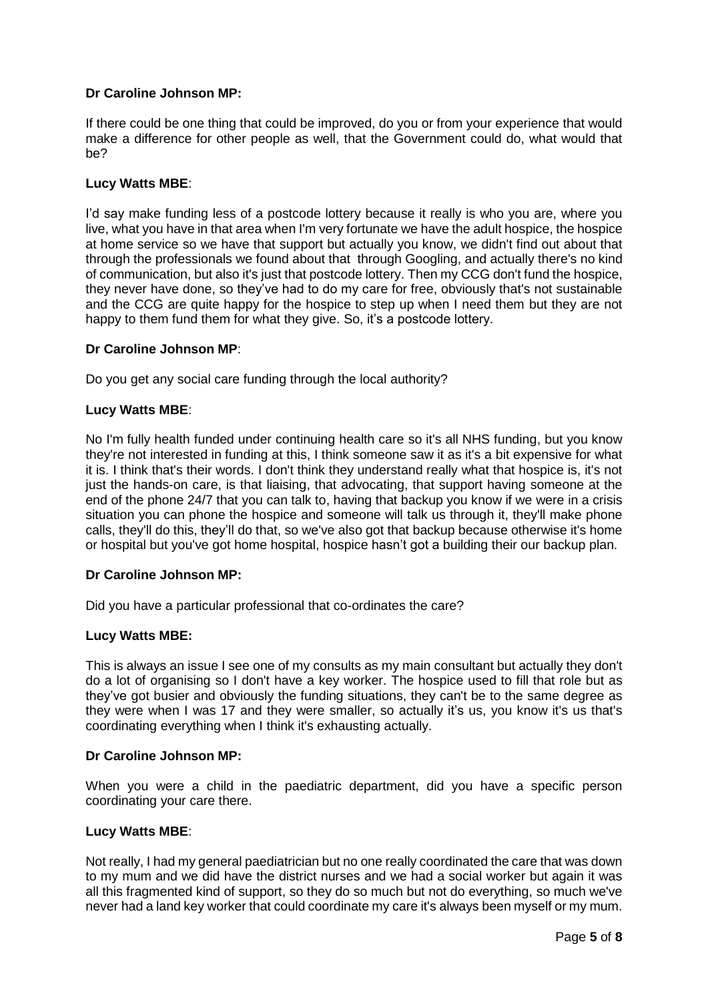If there could be one thing that could be improved, do you or from your experience that would make a difference for other people as well, that the Government could do, what would that be?

## **Lucy Watts MBE**:

I'd say make funding less of a postcode lottery because it really is who you are, where you live, what you have in that area when I'm very fortunate we have the adult hospice, the hospice at home service so we have that support but actually you know, we didn't find out about that through the professionals we found about that through Googling, and actually there's no kind of communication, but also it's just that postcode lottery. Then my CCG don't fund the hospice, they never have done, so they've had to do my care for free, obviously that's not sustainable and the CCG are quite happy for the hospice to step up when I need them but they are not happy to them fund them for what they give. So, it's a postcode lottery.

### **Dr Caroline Johnson MP**:

Do you get any social care funding through the local authority?

### **Lucy Watts MBE**:

No I'm fully health funded under continuing health care so it's all NHS funding, but you know they're not interested in funding at this, I think someone saw it as it's a bit expensive for what it is. I think that's their words. I don't think they understand really what that hospice is, it's not just the hands-on care, is that liaising, that advocating, that support having someone at the end of the phone 24/7 that you can talk to, having that backup you know if we were in a crisis situation you can phone the hospice and someone will talk us through it, they'll make phone calls, they'll do this, they'll do that, so we've also got that backup because otherwise it's home or hospital but you've got home hospital, hospice hasn't got a building their our backup plan.

#### **Dr Caroline Johnson MP:**

Did you have a particular professional that co-ordinates the care?

#### **Lucy Watts MBE:**

This is always an issue I see one of my consults as my main consultant but actually they don't do a lot of organising so I don't have a key worker. The hospice used to fill that role but as they've got busier and obviously the funding situations, they can't be to the same degree as they were when I was 17 and they were smaller, so actually it's us, you know it's us that's coordinating everything when I think it's exhausting actually.

#### **Dr Caroline Johnson MP:**

When you were a child in the paediatric department, did you have a specific person coordinating your care there.

#### **Lucy Watts MBE**:

Not really, I had my general paediatrician but no one really coordinated the care that was down to my mum and we did have the district nurses and we had a social worker but again it was all this fragmented kind of support, so they do so much but not do everything, so much we've never had a land key worker that could coordinate my care it's always been myself or my mum.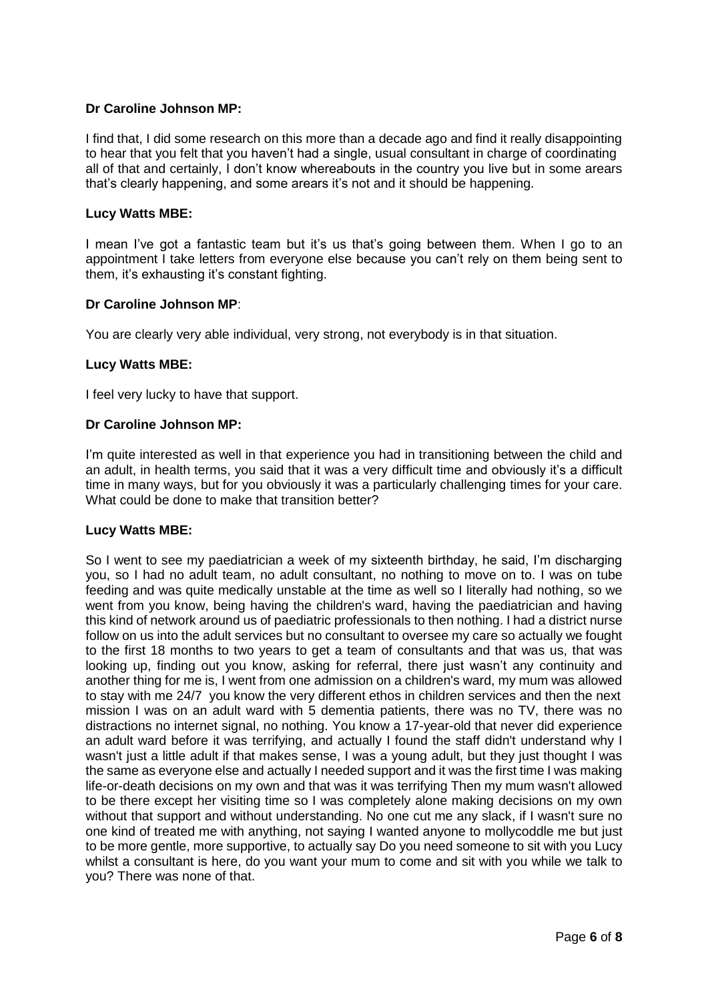I find that, I did some research on this more than a decade ago and find it really disappointing to hear that you felt that you haven't had a single, usual consultant in charge of coordinating all of that and certainly, I don't know whereabouts in the country you live but in some arears that's clearly happening, and some arears it's not and it should be happening.

### **Lucy Watts MBE:**

I mean I've got a fantastic team but it's us that's going between them. When I go to an appointment I take letters from everyone else because you can't rely on them being sent to them, it's exhausting it's constant fighting.

### **Dr Caroline Johnson MP**:

You are clearly very able individual, very strong, not everybody is in that situation.

### **Lucy Watts MBE:**

I feel very lucky to have that support.

### **Dr Caroline Johnson MP:**

I'm quite interested as well in that experience you had in transitioning between the child and an adult, in health terms, you said that it was a very difficult time and obviously it's a difficult time in many ways, but for you obviously it was a particularly challenging times for your care. What could be done to make that transition better?

#### **Lucy Watts MBE:**

So I went to see my paediatrician a week of my sixteenth birthday, he said, I'm discharging you, so I had no adult team, no adult consultant, no nothing to move on to. I was on tube feeding and was quite medically unstable at the time as well so I literally had nothing, so we went from you know, being having the children's ward, having the paediatrician and having this kind of network around us of paediatric professionals to then nothing. I had a district nurse follow on us into the adult services but no consultant to oversee my care so actually we fought to the first 18 months to two years to get a team of consultants and that was us, that was looking up, finding out you know, asking for referral, there just wasn't any continuity and another thing for me is, I went from one admission on a children's ward, my mum was allowed to stay with me 24/7 you know the very different ethos in children services and then the next mission I was on an adult ward with 5 dementia patients, there was no TV, there was no distractions no internet signal, no nothing. You know a 17-year-old that never did experience an adult ward before it was terrifying, and actually I found the staff didn't understand why I wasn't just a little adult if that makes sense, I was a young adult, but they just thought I was the same as everyone else and actually I needed support and it was the first time I was making life-or-death decisions on my own and that was it was terrifying Then my mum wasn't allowed to be there except her visiting time so I was completely alone making decisions on my own without that support and without understanding. No one cut me any slack, if I wasn't sure no one kind of treated me with anything, not saying I wanted anyone to mollycoddle me but just to be more gentle, more supportive, to actually say Do you need someone to sit with you Lucy whilst a consultant is here, do you want your mum to come and sit with you while we talk to you? There was none of that.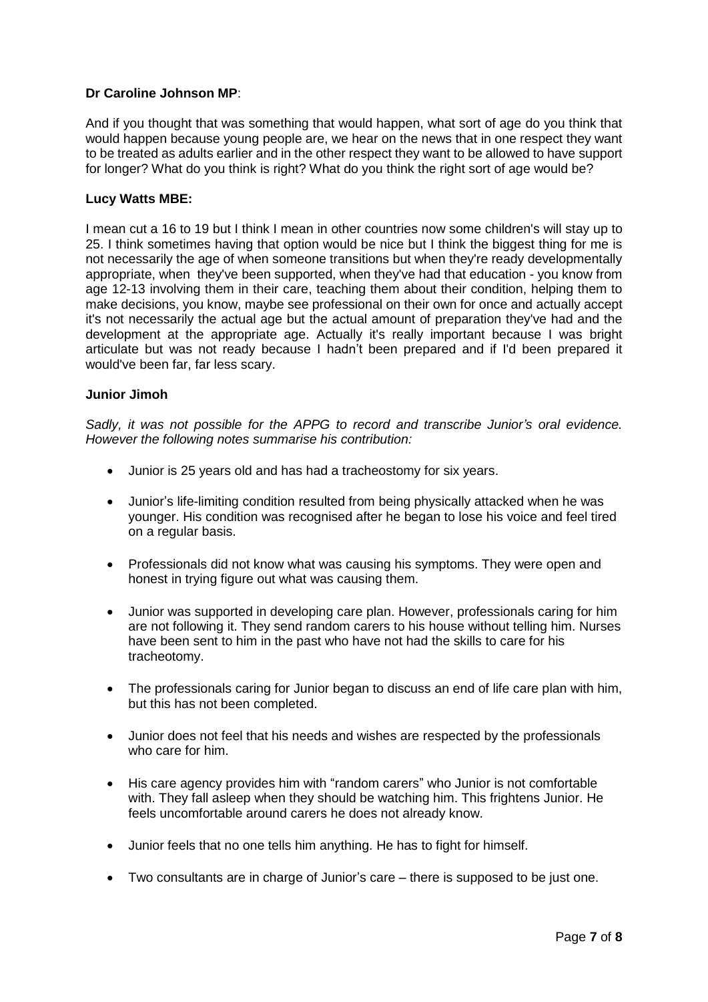And if you thought that was something that would happen, what sort of age do you think that would happen because young people are, we hear on the news that in one respect they want to be treated as adults earlier and in the other respect they want to be allowed to have support for longer? What do you think is right? What do you think the right sort of age would be?

## **Lucy Watts MBE:**

I mean cut a 16 to 19 but I think I mean in other countries now some children's will stay up to 25. I think sometimes having that option would be nice but I think the biggest thing for me is not necessarily the age of when someone transitions but when they're ready developmentally appropriate, when they've been supported, when they've had that education - you know from age 12-13 involving them in their care, teaching them about their condition, helping them to make decisions, you know, maybe see professional on their own for once and actually accept it's not necessarily the actual age but the actual amount of preparation they've had and the development at the appropriate age. Actually it's really important because I was bright articulate but was not ready because I hadn't been prepared and if I'd been prepared it would've been far, far less scary.

### **Junior Jimoh**

*Sadly, it was not possible for the APPG to record and transcribe Junior's oral evidence. However the following notes summarise his contribution:*

- Junior is 25 years old and has had a tracheostomy for six years.
- Junior's life-limiting condition resulted from being physically attacked when he was younger. His condition was recognised after he began to lose his voice and feel tired on a regular basis.
- Professionals did not know what was causing his symptoms. They were open and honest in trying figure out what was causing them.
- Junior was supported in developing care plan. However, professionals caring for him are not following it. They send random carers to his house without telling him. Nurses have been sent to him in the past who have not had the skills to care for his tracheotomy.
- The professionals caring for Junior began to discuss an end of life care plan with him, but this has not been completed.
- Junior does not feel that his needs and wishes are respected by the professionals who care for him.
- His care agency provides him with "random carers" who Junior is not comfortable with. They fall asleep when they should be watching him. This frightens Junior. He feels uncomfortable around carers he does not already know.
- Junior feels that no one tells him anything. He has to fight for himself.
- Two consultants are in charge of Junior's care there is supposed to be just one.